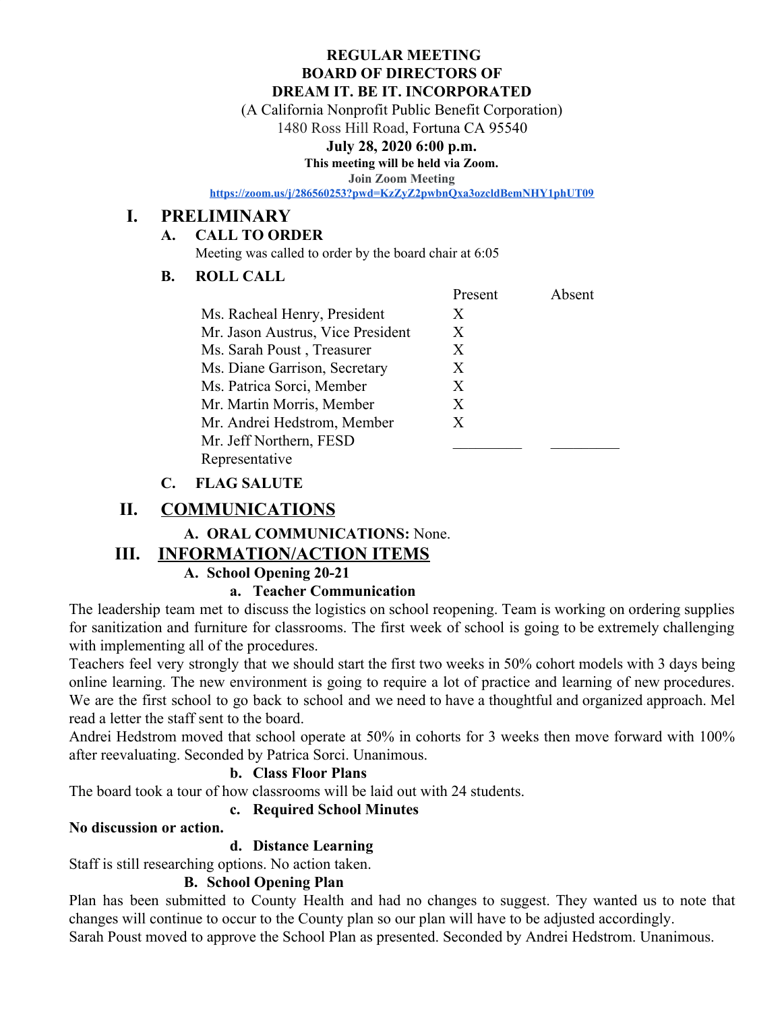#### **REGULAR MEETING BOARD OF DIRECTORS OF DREAM IT. BE IT. INCORPORATED**

(A California Nonprofit Public Benefit Corporation)

1480 Ross Hill Road, Fortuna CA 95540

#### **July 28, 2020 6:00 p.m.**

**This meeting will be held via Zoom.**

**Join Zoom Meeting**

**<https://zoom.us/j/286560253?pwd=KzZyZ2pwbnQxa3ozcldBemNHY1phUT09>**

# **I. PRELIMINARY**

### **A. CALL TO ORDER**

Meeting was called to order by the board chair at 6:05

#### **B. ROLL CALL**

|                                   | Present | Absent |
|-----------------------------------|---------|--------|
| Ms. Racheal Henry, President      | X       |        |
| Mr. Jason Austrus, Vice President | X       |        |
| Ms. Sarah Poust, Treasurer        | X       |        |
| Ms. Diane Garrison, Secretary     | X       |        |
| Ms. Patrica Sorci, Member         | X       |        |
| Mr. Martin Morris, Member         | X       |        |
| Mr. Andrei Hedstrom, Member       | X       |        |
| Mr. Jeff Northern, FESD           |         |        |
| Representative                    |         |        |

## **C. FLAG SALUTE**

# **II. COMMUNICATIONS**

**A. ORAL COMMUNICATIONS:** None.

# **III. INFORMATION/ACTION ITEMS**

## **A. School Opening 20-21**

#### **a. Teacher Communication**

The leadership team met to discuss the logistics on school reopening. Team is working on ordering supplies for sanitization and furniture for classrooms. The first week of school is going to be extremely challenging with implementing all of the procedures.

Teachers feel very strongly that we should start the first two weeks in 50% cohort models with 3 days being online learning. The new environment is going to require a lot of practice and learning of new procedures. We are the first school to go back to school and we need to have a thoughtful and organized approach. Mel read a letter the staff sent to the board.

Andrei Hedstrom moved that school operate at 50% in cohorts for 3 weeks then move forward with 100% after reevaluating. Seconded by Patrica Sorci. Unanimous.

## **b. Class Floor Plans**

The board took a tour of how classrooms will be laid out with 24 students.

## **c. Required School Minutes**

#### **No discussion or action.**

#### **d. Distance Learning**

Staff is still researching options. No action taken.

#### **B. School Opening Plan**

Plan has been submitted to County Health and had no changes to suggest. They wanted us to note that changes will continue to occur to the County plan so our plan will have to be adjusted accordingly.

Sarah Poust moved to approve the School Plan as presented. Seconded by Andrei Hedstrom. Unanimous.